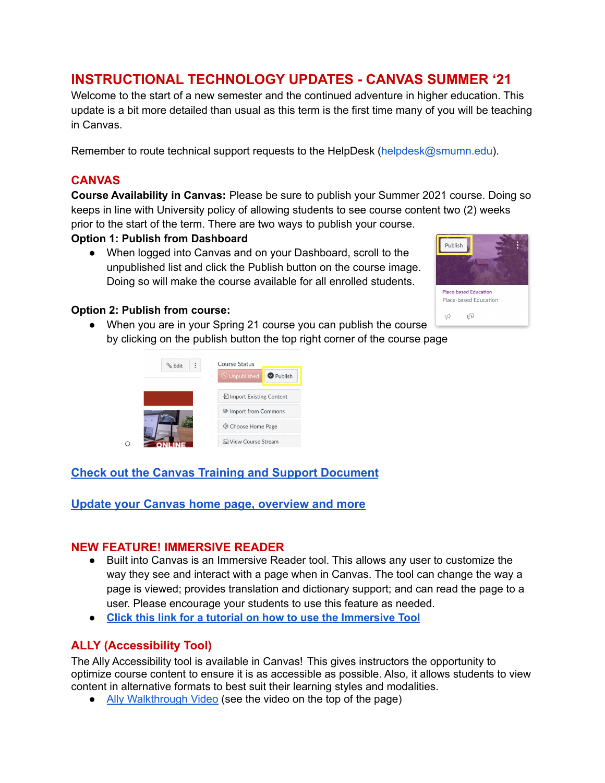# **INSTRUCTIONAL TECHNOLOGY UPDATES - CANVAS SUMMER '21**

Welcome to the start of a new semester and the continued adventure in higher education. This update is a bit more detailed than usual as this term is the first time many of you will be teaching in Canvas.

Remember to route technical support requests to the HelpDesk (helpdesk@smumn.edu).

#### **CANVAS**

**Course Availability in Canvas:** Please be sure to publish your Summer 2021 course. Doing so keeps in line with University policy of allowing students to see course content two (2) weeks prior to the start of the term. There are two ways to publish your course.

#### **Option 1: Publish from Dashboard**

• When logged into Canvas and on your Dashboard, scroll to the unpublished list and click the Publish button on the course image. Doing so will make the course available for all enrolled students.



#### **Option 2: Publish from course:**

 $\Omega$ 

● When you are in your Spring 21 course you can publish the course by clicking on the publish button the top right corner of the course page



# **[Check out the Canvas Training and Support Document](https://docs.google.com/document/d/1bXqg50-ccGNZzZVxYX4NKKR0AhI5lr-86vdzTFqIpP4/edit?usp=sharing)**

## **[Update your Canvas home page, overview and more](https://docs.google.com/document/d/1JgaAVwZymh6CSv5DY9SUBLeB0aBN8CL_gnLDnEyoG40/edit?usp=sharing)**

#### **NEW FEATURE! IMMERSIVE READER**

- Built into Canvas is an Immersive Reader tool. This allows any user to customize the way they see and interact with a page when in Canvas. The tool can change the way a page is viewed; provides translation and dictionary support; and can read the page to a user. Please encourage your students to use this feature as needed.
- **● Click this link for a tutorial on how to use the [Immersive](https://docs.google.com/document/d/1Gj3nzDw4MItpQH9g6HPwxKAnkXTKvE6-go_S-9esINM/edit?usp=sharing) Tool**

## **ALLY (Accessibility Tool)**

The Ally Accessibility tool is available in Canvas! This gives instructors the opportunity to optimize course content to ensure it is as accessible as possible. Also, it allows students to view content in alternative formats to best suit their learning styles and modalities.

• Ally [Walkthrough](https://celt.smumn.edu/intech/ally/) Video (see the video on the top of the page)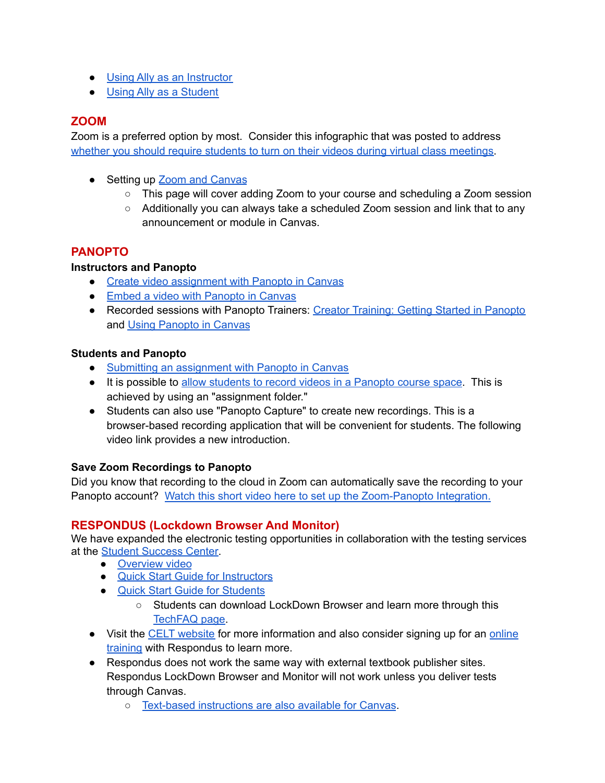- Using Ally as an [Instructor](https://help.blackboard.com/Ally/Ally_for_LMS/Instructor)
- Using Ally as a [Student](https://help.blackboard.com/Ally/Ally_for_LMS/Student/Alternative_Formats)

#### **ZOOM**

Zoom is a preferred option by most. Consider this infographic that was posted to address whether you should require students to turn on their videos during virtual class [meetings.](https://elm.umaryland.edu/announcements/Announcements-Content/Image-1.jpg)

- Setting up **Zoom and [Canvas](https://docs.google.com/document/d/1zoDq9DYbtfUy1kwJvtJnRrx4irXt0GLbNOJDxZ_DsS4/edit?usp=sharing)** 
	- This page will cover adding Zoom to your course and scheduling a Zoom session
	- Additionally you can always take a scheduled Zoom session and link that to any announcement or module in Canvas.

# **PANOPTO**

#### **Instructors and Panopto**

- Create video [assignment](https://support.panopto.com/s/article/Create-an-Assignment-in-Canvas-as-a-Teacher) with Panopto in Canvas
- Embed a video with [Panopto](https://support.panopto.com/s/article/Embed-Panopto-Videos-in-a-Canvas-Course-Faculty) in Canvas
- Recorded sessions with Panopto Trainers: Creator [Training:](https://corp.hosted.panopto.com/Panopto/Pages/Viewer.aspx?id=2dfe0bcb-d330-47fc-9dd7-abf4010dfd96) Getting Started in Panopto and Using [Panopto](https://celt.smumn.edu/calendar/recordings/) in Canvas

#### **Students and Panopto**

- Submitting an [assignment](https://support.panopto.com/s/article/Submit-an-Assignment-in-Canvas-as-a-Student) with Panopto in Canvas
- It is possible to allow [students](https://support.panopto.com/s/article/Use-Assignment-Folders-for-Student-Recordings) to record videos in a Panopto course space. This is achieved by using an "assignment folder."
- Students can also use "Panopto Capture" to create new recordings. This is a browser-based recording application that will be convenient for students. The following video link provides a new introduction.

## **Save Zoom Recordings to Panopto**

Did you know that recording to the cloud in Zoom can automatically save the recording to your Panopto account? Watch this short video here to set up the [Zoom-Panopto](https://nmt.hosted.panopto.com/Panopto/Pages/Viewer.aspx?id=ba683114-2866-44dc-bf1e-ab84015bcf35) Integration.

## **RESPONDUS (Lockdown Browser And Monitor)**

We have expanded the electronic testing opportunities in collaboration with the testing services at the Student [Success](https://studentsuccess.smumn.edu/) Center.

- [Overview](https://youtu.be/7J1K8-R20ao) video
- Quick Start Guide for [Instructors](https://www.respondus.com/downloads/RLDB-QuickStartGuide-Instructor-Instructure.pdf)
- Quick Start Guide for [Students](https://www.respondus.com/downloads/RLDB-QuickStartGuide-Instructor-Instructure.pdf)
	- Students can download LockDown Browser and learn more through this [TechFAQ](https://techfaq.smumn.edu/index.php?solution_id=1309) page.
- Visit the CELT [website](https://celt.smumn.edu/intech/testing-integrity/) for more information and also consider signing up for an [online](https://web.respondus.com/webinars/) [training](https://web.respondus.com/webinars/) with Respondus to learn more.
- Respondus does not work the same way with external textbook publisher sites. Respondus LockDown Browser and Monitor will not work unless you deliver tests through Canvas.
	- Text-based [instructions](https://www.respondus.com/downloads/RLDB-QuickStartGuide-Instructor-Instructure.pdf) are also available for Canvas.